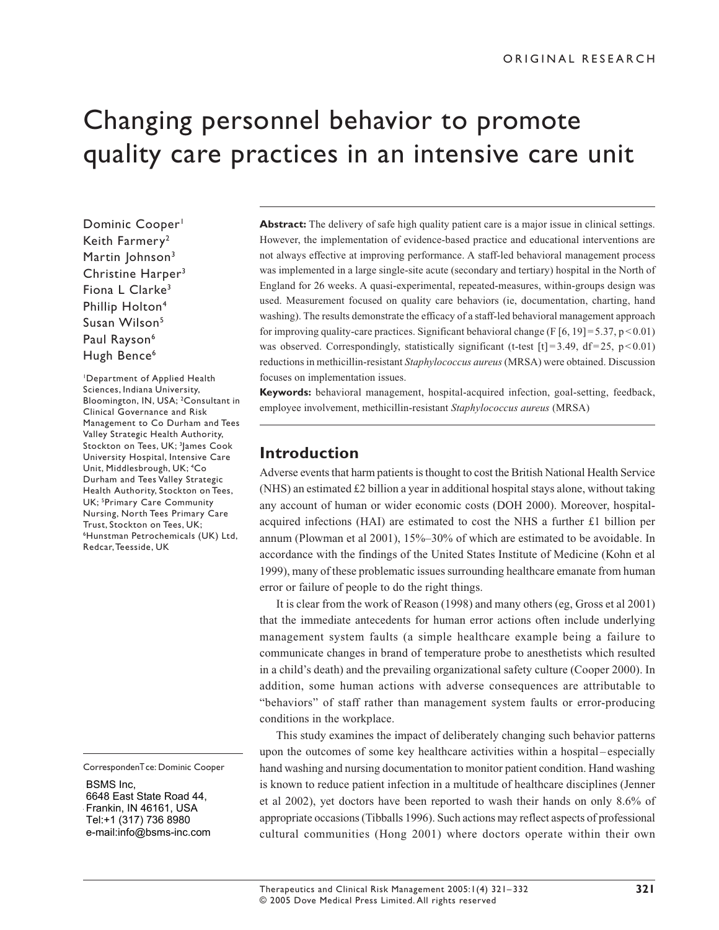# Changing personnel behavior to promote quality care practices in an intensive care unit

Dominic Cooper<sup>1</sup> Keith Farmery2 Martin Johnson<sup>3</sup> Christine Harper<sup>3</sup> Fiona L Clarke<sup>3</sup> Phillip Holton<sup>4</sup> Susan Wilson<sup>5</sup> Paul Rayson<sup>6</sup> Hugh Bence<sup>6</sup>

1Department of Applied Health Sciences, Indiana University, Bloomington, IN, USA; 2 Consultant in Clinical Governance and Risk Management to Co Durham and Tees Valley Strategic Health Authority, Stockton on Tees, UK; <sup>3</sup>James Cook University Hospital, Intensive Care Unit, Middlesbrough, UK; 4 Co Durham and Tees Valley Strategic Health Authority, Stockton on Tees, UK; <sup>5</sup>Primary Care Community Nursing, North Tees Primary Care Trust, Stockton on Tees, UK; 6Hunstman Petrochemicals (UK) Ltd, Redcar, Teesside, UK

CorrespondenTce: Dominic Cooper

BSMS Inc,  $\overline{O}$  DOIVIO IIIU,  $\overline{O}$ 6648 East State Road 44, Frankin, IN 46161, USA Fax +1 812 855.3936 Tel:+1 (317) 736 8980 ∣e-mail:info@bsms-inc.com

**Abstract:** The delivery of safe high quality patient care is a major issue in clinical settings. However, the implementation of evidence-based practice and educational interventions are not always effective at improving performance. A staff-led behavioral management process was implemented in a large single-site acute (secondary and tertiary) hospital in the North of England for 26 weeks. A quasi-experimental, repeated-measures, within-groups design was used. Measurement focused on quality care behaviors (ie, documentation, charting, hand washing). The results demonstrate the efficacy of a staff-led behavioral management approach for improving quality-care practices. Significant behavioral change (F  $[6, 19] = 5.37$ , p < 0.01) was observed. Correspondingly, statistically significant (t-test  $[t] = 3.49$ ,  $df = 25$ ,  $p < 0.01$ ) reductions in methicillin-resistant *Staphylococcus aureus* (MRSA) were obtained. Discussion focuses on implementation issues.

**Keywords:** behavioral management, hospital-acquired infection, goal-setting, feedback, employee involvement, methicillin-resistant *Staphylococcus aureus* (MRSA)

## **Introduction**

Adverse events that harm patients is thought to cost the British National Health Service (NHS) an estimated £2 billion a year in additional hospital stays alone, without taking any account of human or wider economic costs (DOH 2000). Moreover, hospitalacquired infections (HAI) are estimated to cost the NHS a further £1 billion per annum (Plowman et al 2001), 15%–30% of which are estimated to be avoidable. In accordance with the findings of the United States Institute of Medicine (Kohn et al 1999), many of these problematic issues surrounding healthcare emanate from human error or failure of people to do the right things.

It is clear from the work of Reason (1998) and many others (eg, Gross et al 2001) that the immediate antecedents for human error actions often include underlying management system faults (a simple healthcare example being a failure to communicate changes in brand of temperature probe to anesthetists which resulted in a child's death) and the prevailing organizational safety culture (Cooper 2000). In addition, some human actions with adverse consequences are attributable to "behaviors" of staff rather than management system faults or error-producing conditions in the workplace.

This study examines the impact of deliberately changing such behavior patterns upon the outcomes of some key healthcare activities within a hospital – especially hand washing and nursing documentation to monitor patient condition. Hand washing is known to reduce patient infection in a multitude of healthcare disciplines (Jenner et al 2002), yet doctors have been reported to wash their hands on only 8.6% of appropriate occasions (Tibballs 1996). Such actions may reflect aspects of professional cultural communities (Hong 2001) where doctors operate within their own

Therapeutics and Clinical Risk Management 2005:1(4) 321–332 © 2005 Dove Medical Press Limited. All rights reserved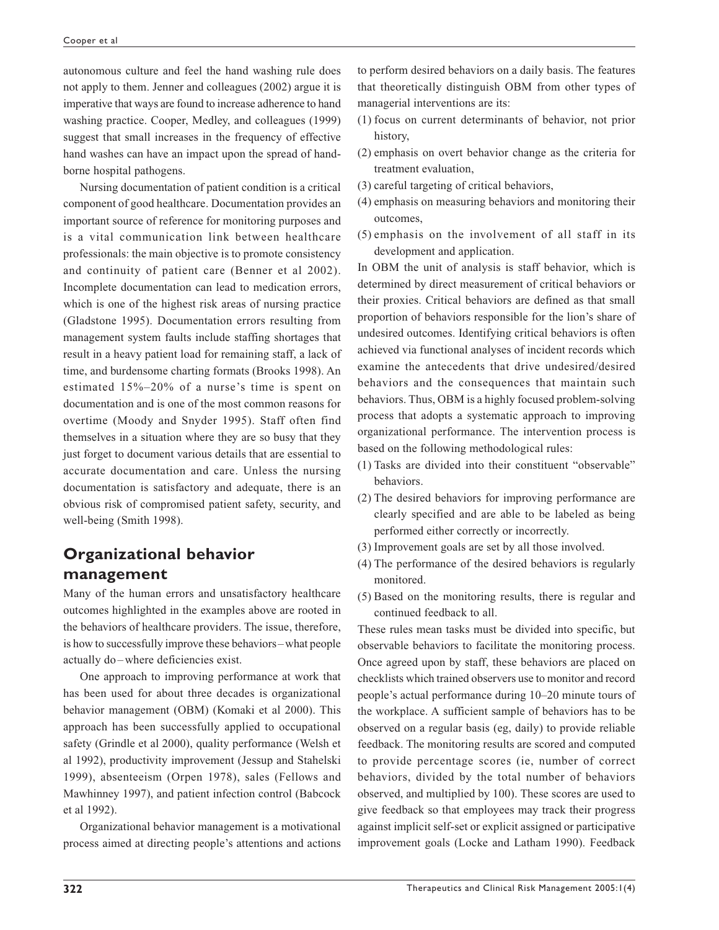autonomous culture and feel the hand washing rule does not apply to them. Jenner and colleagues (2002) argue it is imperative that ways are found to increase adherence to hand washing practice. Cooper, Medley, and colleagues (1999) suggest that small increases in the frequency of effective hand washes can have an impact upon the spread of handborne hospital pathogens.

Nursing documentation of patient condition is a critical component of good healthcare. Documentation provides an important source of reference for monitoring purposes and is a vital communication link between healthcare professionals: the main objective is to promote consistency and continuity of patient care (Benner et al 2002). Incomplete documentation can lead to medication errors, which is one of the highest risk areas of nursing practice (Gladstone 1995). Documentation errors resulting from management system faults include staffing shortages that result in a heavy patient load for remaining staff, a lack of time, and burdensome charting formats (Brooks 1998). An estimated 15%–20% of a nurse's time is spent on documentation and is one of the most common reasons for overtime (Moody and Snyder 1995). Staff often find themselves in a situation where they are so busy that they just forget to document various details that are essential to accurate documentation and care. Unless the nursing documentation is satisfactory and adequate, there is an obvious risk of compromised patient safety, security, and well-being (Smith 1998).

# **Organizational behavior management**

Many of the human errors and unsatisfactory healthcare outcomes highlighted in the examples above are rooted in the behaviors of healthcare providers. The issue, therefore, is how to successfully improve these behaviors–what people actually do –where deficiencies exist.

One approach to improving performance at work that has been used for about three decades is organizational behavior management (OBM) (Komaki et al 2000). This approach has been successfully applied to occupational safety (Grindle et al 2000), quality performance (Welsh et al 1992), productivity improvement (Jessup and Stahelski 1999), absenteeism (Orpen 1978), sales (Fellows and Mawhinney 1997), and patient infection control (Babcock et al 1992).

Organizational behavior management is a motivational process aimed at directing people's attentions and actions to perform desired behaviors on a daily basis. The features that theoretically distinguish OBM from other types of managerial interventions are its:

- (1) focus on current determinants of behavior, not prior history,
- (2) emphasis on overt behavior change as the criteria for treatment evaluation,
- (3) careful targeting of critical behaviors,
- (4) emphasis on measuring behaviors and monitoring their outcomes,
- (5) emphasis on the involvement of all staff in its development and application.

In OBM the unit of analysis is staff behavior, which is determined by direct measurement of critical behaviors or their proxies. Critical behaviors are defined as that small proportion of behaviors responsible for the lion's share of undesired outcomes. Identifying critical behaviors is often achieved via functional analyses of incident records which examine the antecedents that drive undesired/desired behaviors and the consequences that maintain such behaviors. Thus, OBM is a highly focused problem-solving process that adopts a systematic approach to improving organizational performance. The intervention process is based on the following methodological rules:

- (1) Tasks are divided into their constituent "observable" behaviors.
- (2) The desired behaviors for improving performance are clearly specified and are able to be labeled as being performed either correctly or incorrectly.
- (3) Improvement goals are set by all those involved.
- (4) The performance of the desired behaviors is regularly monitored.
- (5) Based on the monitoring results, there is regular and continued feedback to all.

These rules mean tasks must be divided into specific, but observable behaviors to facilitate the monitoring process. Once agreed upon by staff, these behaviors are placed on checklists which trained observers use to monitor and record people's actual performance during 10–20 minute tours of the workplace. A sufficient sample of behaviors has to be observed on a regular basis (eg, daily) to provide reliable feedback. The monitoring results are scored and computed to provide percentage scores (ie, number of correct behaviors, divided by the total number of behaviors observed, and multiplied by 100). These scores are used to give feedback so that employees may track their progress against implicit self-set or explicit assigned or participative improvement goals (Locke and Latham 1990). Feedback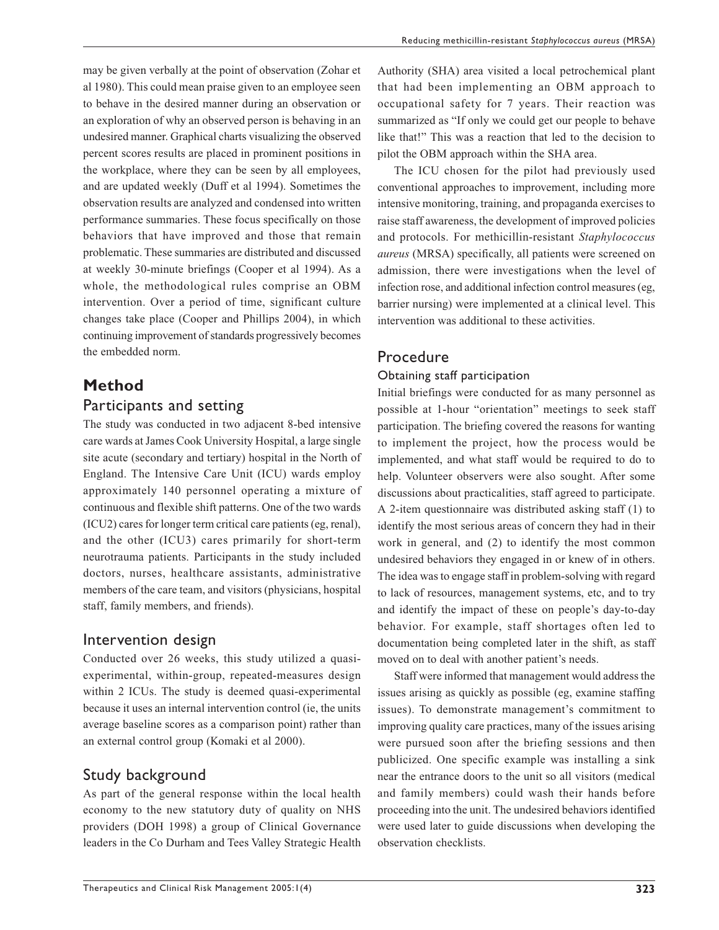may be given verbally at the point of observation (Zohar et al 1980). This could mean praise given to an employee seen to behave in the desired manner during an observation or an exploration of why an observed person is behaving in an undesired manner. Graphical charts visualizing the observed percent scores results are placed in prominent positions in the workplace, where they can be seen by all employees, and are updated weekly (Duff et al 1994). Sometimes the observation results are analyzed and condensed into written performance summaries. These focus specifically on those behaviors that have improved and those that remain problematic. These summaries are distributed and discussed at weekly 30-minute briefings (Cooper et al 1994). As a whole, the methodological rules comprise an OBM intervention. Over a period of time, significant culture changes take place (Cooper and Phillips 2004), in which

continuing improvement of standards progressively becomes Procedure

# **Method** Participants and setting

the embedded norm.

The study was conducted in two adjacent 8-bed intensive care wards at James Cook University Hospital, a large single site acute (secondary and tertiary) hospital in the North of England. The Intensive Care Unit (ICU) wards employ approximately 140 personnel operating a mixture of continuous and flexible shift patterns. One of the two wards (ICU2) cares for longer term critical care patients (eg, renal), and the other (ICU3) cares primarily for short-term neurotrauma patients. Participants in the study included doctors, nurses, healthcare assistants, administrative members of the care team, and visitors (physicians, hospital staff, family members, and friends).

# Intervention design

Conducted over 26 weeks, this study utilized a quasiexperimental, within-group, repeated-measures design within 2 ICUs. The study is deemed quasi-experimental because it uses an internal intervention control (ie, the units average baseline scores as a comparison point) rather than an external control group (Komaki et al 2000).

# Study background

As part of the general response within the local health economy to the new statutory duty of quality on NHS providers (DOH 1998) a group of Clinical Governance leaders in the Co Durham and Tees Valley Strategic Health Authority (SHA) area visited a local petrochemical plant that had been implementing an OBM approach to occupational safety for 7 years. Their reaction was summarized as "If only we could get our people to behave like that!" This was a reaction that led to the decision to pilot the OBM approach within the SHA area.

The ICU chosen for the pilot had previously used conventional approaches to improvement, including more intensive monitoring, training, and propaganda exercises to raise staff awareness, the development of improved policies and protocols. For methicillin-resistant *Staphylococcus aureus* (MRSA) specifically, all patients were screened on admission, there were investigations when the level of infection rose, and additional infection control measures (eg, barrier nursing) were implemented at a clinical level. This intervention was additional to these activities.

## Obtaining staff participation

Initial briefings were conducted for as many personnel as possible at 1-hour "orientation" meetings to seek staff participation. The briefing covered the reasons for wanting to implement the project, how the process would be implemented, and what staff would be required to do to help. Volunteer observers were also sought. After some discussions about practicalities, staff agreed to participate. A 2-item questionnaire was distributed asking staff (1) to identify the most serious areas of concern they had in their work in general, and (2) to identify the most common undesired behaviors they engaged in or knew of in others. The idea was to engage staff in problem-solving with regard to lack of resources, management systems, etc, and to try and identify the impact of these on people's day-to-day behavior. For example, staff shortages often led to documentation being completed later in the shift, as staff moved on to deal with another patient's needs.

Staff were informed that management would address the issues arising as quickly as possible (eg, examine staffing issues). To demonstrate management's commitment to improving quality care practices, many of the issues arising were pursued soon after the briefing sessions and then publicized. One specific example was installing a sink near the entrance doors to the unit so all visitors (medical and family members) could wash their hands before proceeding into the unit. The undesired behaviors identified were used later to guide discussions when developing the observation checklists.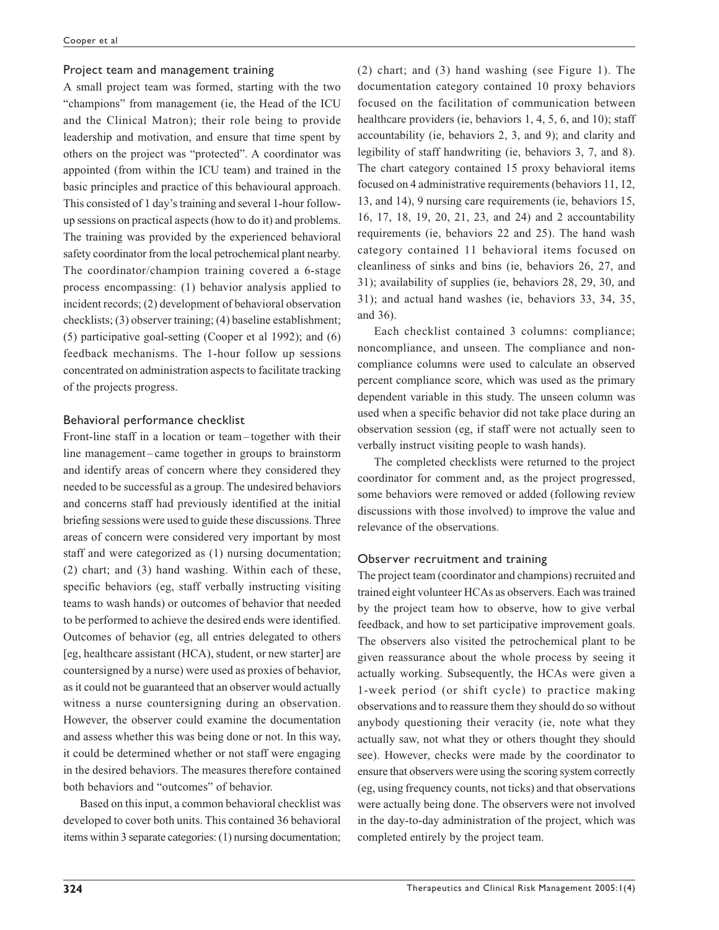#### Project team and management training

A small project team was formed, starting with the two "champions" from management (ie, the Head of the ICU and the Clinical Matron); their role being to provide leadership and motivation, and ensure that time spent by others on the project was "protected". A coordinator was appointed (from within the ICU team) and trained in the basic principles and practice of this behavioural approach. This consisted of 1 day's training and several 1-hour followup sessions on practical aspects (how to do it) and problems. The training was provided by the experienced behavioral safety coordinator from the local petrochemical plant nearby. The coordinator/champion training covered a 6-stage process encompassing: (1) behavior analysis applied to incident records; (2) development of behavioral observation checklists; (3) observer training; (4) baseline establishment; (5) participative goal-setting (Cooper et al 1992); and (6) feedback mechanisms. The 1-hour follow up sessions concentrated on administration aspects to facilitate tracking of the projects progress.

#### Behavioral performance checklist

Front-line staff in a location or team– together with their line management –came together in groups to brainstorm and identify areas of concern where they considered they needed to be successful as a group. The undesired behaviors and concerns staff had previously identified at the initial briefing sessions were used to guide these discussions. Three areas of concern were considered very important by most staff and were categorized as (1) nursing documentation; (2) chart; and (3) hand washing. Within each of these, specific behaviors (eg, staff verbally instructing visiting teams to wash hands) or outcomes of behavior that needed to be performed to achieve the desired ends were identified. Outcomes of behavior (eg, all entries delegated to others [eg, healthcare assistant (HCA), student, or new starter] are countersigned by a nurse) were used as proxies of behavior, as it could not be guaranteed that an observer would actually witness a nurse countersigning during an observation. However, the observer could examine the documentation and assess whether this was being done or not. In this way, it could be determined whether or not staff were engaging in the desired behaviors. The measures therefore contained both behaviors and "outcomes" of behavior.

Based on this input, a common behavioral checklist was developed to cover both units. This contained 36 behavioral items within 3 separate categories: (1) nursing documentation; (2) chart; and (3) hand washing (see Figure 1). The documentation category contained 10 proxy behaviors focused on the facilitation of communication between healthcare providers (ie, behaviors 1, 4, 5, 6, and 10); staff accountability (ie, behaviors 2, 3, and 9); and clarity and legibility of staff handwriting (ie, behaviors 3, 7, and 8). The chart category contained 15 proxy behavioral items focused on 4 administrative requirements (behaviors 11, 12, 13, and 14), 9 nursing care requirements (ie, behaviors 15, 16, 17, 18, 19, 20, 21, 23, and 24) and 2 accountability requirements (ie, behaviors 22 and 25). The hand wash category contained 11 behavioral items focused on cleanliness of sinks and bins (ie, behaviors 26, 27, and 31); availability of supplies (ie, behaviors 28, 29, 30, and 31); and actual hand washes (ie, behaviors 33, 34, 35, and 36).

Each checklist contained 3 columns: compliance; noncompliance, and unseen. The compliance and noncompliance columns were used to calculate an observed percent compliance score, which was used as the primary dependent variable in this study. The unseen column was used when a specific behavior did not take place during an observation session (eg, if staff were not actually seen to verbally instruct visiting people to wash hands).

The completed checklists were returned to the project coordinator for comment and, as the project progressed, some behaviors were removed or added (following review discussions with those involved) to improve the value and relevance of the observations.

#### Observer recruitment and training

The project team (coordinator and champions) recruited and trained eight volunteer HCAs as observers. Each was trained by the project team how to observe, how to give verbal feedback, and how to set participative improvement goals. The observers also visited the petrochemical plant to be given reassurance about the whole process by seeing it actually working. Subsequently, the HCAs were given a 1-week period (or shift cycle) to practice making observations and to reassure them they should do so without anybody questioning their veracity (ie, note what they actually saw, not what they or others thought they should see). However, checks were made by the coordinator to ensure that observers were using the scoring system correctly (eg, using frequency counts, not ticks) and that observations were actually being done. The observers were not involved in the day-to-day administration of the project, which was completed entirely by the project team.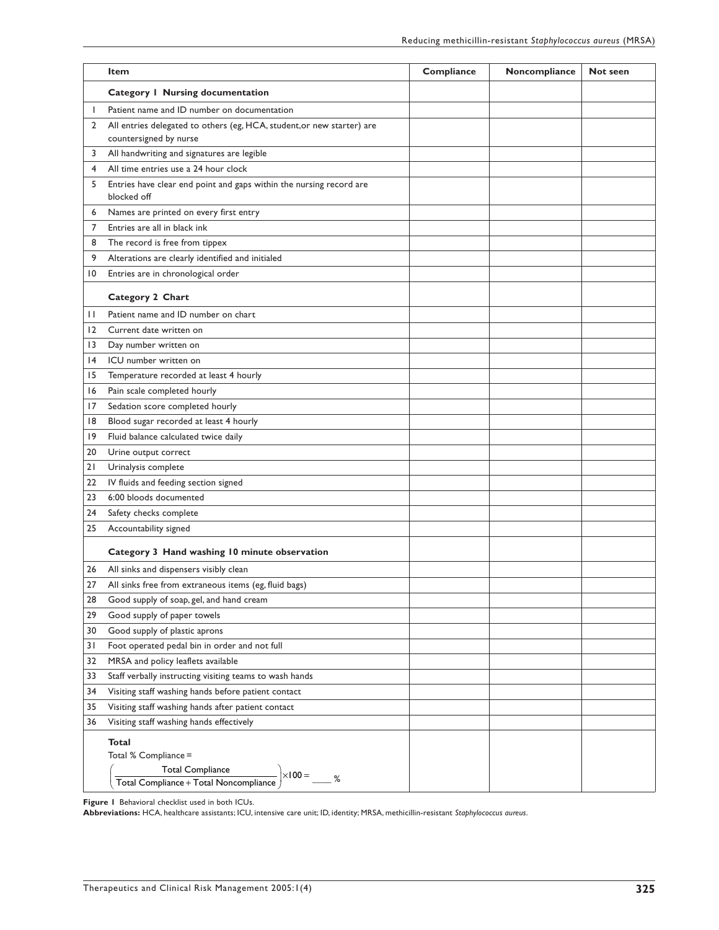|              | Item                                                                                                                                      | Compliance | Noncompliance | Not seen |
|--------------|-------------------------------------------------------------------------------------------------------------------------------------------|------------|---------------|----------|
|              | <b>Category   Nursing documentation</b>                                                                                                   |            |               |          |
| ı            | Patient name and ID number on documentation                                                                                               |            |               |          |
| $\mathbf{2}$ | All entries delegated to others (eg, HCA, student, or new starter) are<br>countersigned by nurse                                          |            |               |          |
| 3            | All handwriting and signatures are legible                                                                                                |            |               |          |
| 4            | All time entries use a 24 hour clock                                                                                                      |            |               |          |
| 5            | Entries have clear end point and gaps within the nursing record are<br>blocked off                                                        |            |               |          |
| 6            | Names are printed on every first entry                                                                                                    |            |               |          |
| 7            | Entries are all in black ink                                                                                                              |            |               |          |
| 8            | The record is free from tippex                                                                                                            |            |               |          |
| 9            | Alterations are clearly identified and initialed                                                                                          |            |               |          |
| 10           | Entries are in chronological order                                                                                                        |            |               |          |
|              | Category 2 Chart                                                                                                                          |            |               |          |
| П            | Patient name and ID number on chart                                                                                                       |            |               |          |
| 12           | Current date written on                                                                                                                   |            |               |          |
| 13           | Day number written on                                                                                                                     |            |               |          |
| 14           | ICU number written on                                                                                                                     |            |               |          |
| 15           | Temperature recorded at least 4 hourly                                                                                                    |            |               |          |
| 16           | Pain scale completed hourly                                                                                                               |            |               |          |
| 17           | Sedation score completed hourly                                                                                                           |            |               |          |
| 18           | Blood sugar recorded at least 4 hourly                                                                                                    |            |               |          |
| 19           | Fluid balance calculated twice daily                                                                                                      |            |               |          |
| 20           | Urine output correct                                                                                                                      |            |               |          |
| 21           | Urinalysis complete                                                                                                                       |            |               |          |
| 22           | IV fluids and feeding section signed                                                                                                      |            |               |          |
| 23           | 6:00 bloods documented                                                                                                                    |            |               |          |
| 24           | Safety checks complete                                                                                                                    |            |               |          |
| 25           | Accountability signed                                                                                                                     |            |               |          |
|              | Category 3 Hand washing 10 minute observation                                                                                             |            |               |          |
| 26           | All sinks and dispensers visibly clean                                                                                                    |            |               |          |
| 27           | All sinks free from extraneous items (eg, fluid bags)                                                                                     |            |               |          |
| 28           | Good supply of soap, gel, and hand cream                                                                                                  |            |               |          |
| 29           | Good supply of paper towels                                                                                                               |            |               |          |
| 30           | Good supply of plastic aprons                                                                                                             |            |               |          |
| 31           | Foot operated pedal bin in order and not full                                                                                             |            |               |          |
| 32           | MRSA and policy leaflets available                                                                                                        |            |               |          |
| 33           | Staff verbally instructing visiting teams to wash hands                                                                                   |            |               |          |
| 34           | Visiting staff washing hands before patient contact                                                                                       |            |               |          |
| 35           | Visiting staff washing hands after patient contact                                                                                        |            |               |          |
| 36           | Visiting staff washing hands effectively                                                                                                  |            |               |          |
|              | Total<br>Total % Compliance =<br><b>Total Compliance</b><br>I Otal Compliance<br>Total Compliance + Total Noncompliance<br>$\times$ 100 = |            |               |          |

**Figure 1** Behavioral checklist used in both ICUs.

**Abbreviations:** HCA, healthcare assistants; ICU, intensive care unit; ID, identity; MRSA, methicillin-resistant *Staphylococcus aureus*.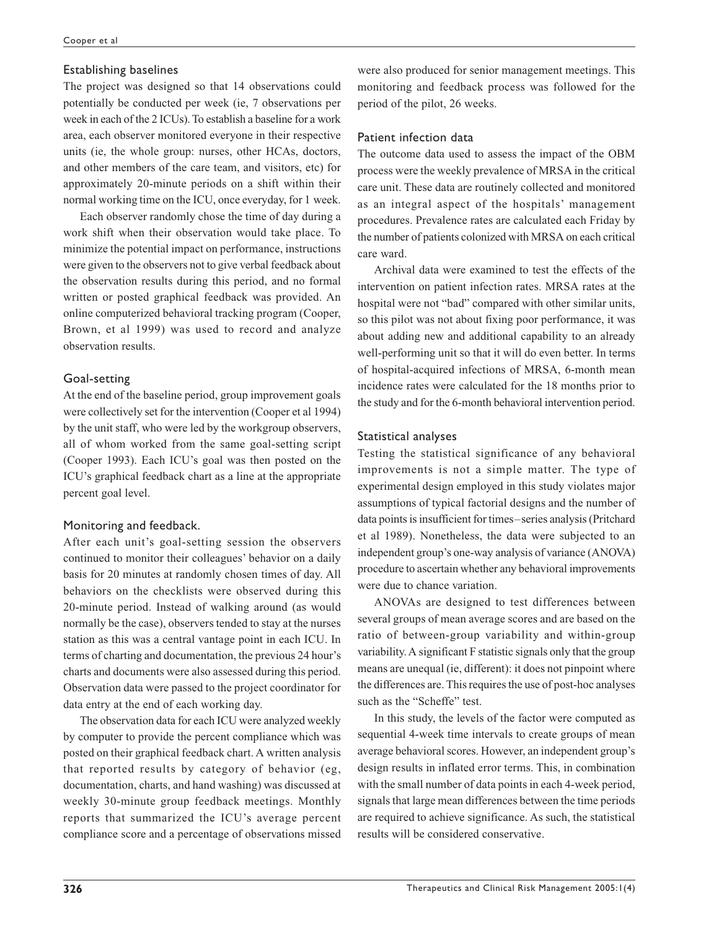#### Establishing baselines

The project was designed so that 14 observations could potentially be conducted per week (ie, 7 observations per week in each of the 2 ICUs). To establish a baseline for a work area, each observer monitored everyone in their respective units (ie, the whole group: nurses, other HCAs, doctors, and other members of the care team, and visitors, etc) for approximately 20-minute periods on a shift within their normal working time on the ICU, once everyday, for 1 week.

Each observer randomly chose the time of day during a work shift when their observation would take place. To minimize the potential impact on performance, instructions were given to the observers not to give verbal feedback about the observation results during this period, and no formal written or posted graphical feedback was provided. An online computerized behavioral tracking program (Cooper, Brown, et al 1999) was used to record and analyze observation results.

#### Goal-setting

At the end of the baseline period, group improvement goals were collectively set for the intervention (Cooper et al 1994) by the unit staff, who were led by the workgroup observers, all of whom worked from the same goal-setting script (Cooper 1993). Each ICU's goal was then posted on the ICU's graphical feedback chart as a line at the appropriate percent goal level.

#### Monitoring and feedback.

After each unit's goal-setting session the observers continued to monitor their colleagues' behavior on a daily basis for 20 minutes at randomly chosen times of day. All behaviors on the checklists were observed during this 20-minute period. Instead of walking around (as would normally be the case), observers tended to stay at the nurses station as this was a central vantage point in each ICU. In terms of charting and documentation, the previous 24 hour's charts and documents were also assessed during this period. Observation data were passed to the project coordinator for data entry at the end of each working day.

The observation data for each ICU were analyzed weekly by computer to provide the percent compliance which was posted on their graphical feedback chart. A written analysis that reported results by category of behavior (eg, documentation, charts, and hand washing) was discussed at weekly 30-minute group feedback meetings. Monthly reports that summarized the ICU's average percent compliance score and a percentage of observations missed were also produced for senior management meetings. This monitoring and feedback process was followed for the period of the pilot, 26 weeks.

#### Patient infection data

The outcome data used to assess the impact of the OBM process were the weekly prevalence of MRSA in the critical care unit. These data are routinely collected and monitored as an integral aspect of the hospitals' management procedures. Prevalence rates are calculated each Friday by the number of patients colonized with MRSA on each critical care ward.

Archival data were examined to test the effects of the intervention on patient infection rates. MRSA rates at the hospital were not "bad" compared with other similar units, so this pilot was not about fixing poor performance, it was about adding new and additional capability to an already well-performing unit so that it will do even better. In terms of hospital-acquired infections of MRSA, 6-month mean incidence rates were calculated for the 18 months prior to the study and for the 6-month behavioral intervention period.

#### Statistical analyses

Testing the statistical significance of any behavioral improvements is not a simple matter. The type of experimental design employed in this study violates major assumptions of typical factorial designs and the number of data points is insufficient for times–series analysis (Pritchard et al 1989). Nonetheless, the data were subjected to an independent group's one-way analysis of variance (ANOVA) procedure to ascertain whether any behavioral improvements were due to chance variation.

ANOVAs are designed to test differences between several groups of mean average scores and are based on the ratio of between-group variability and within-group variability. A significant F statistic signals only that the group means are unequal (ie, different): it does not pinpoint where the differences are. This requires the use of post-hoc analyses such as the "Scheffe" test.

In this study, the levels of the factor were computed as sequential 4-week time intervals to create groups of mean average behavioral scores. However, an independent group's design results in inflated error terms. This, in combination with the small number of data points in each 4-week period, signals that large mean differences between the time periods are required to achieve significance. As such, the statistical results will be considered conservative.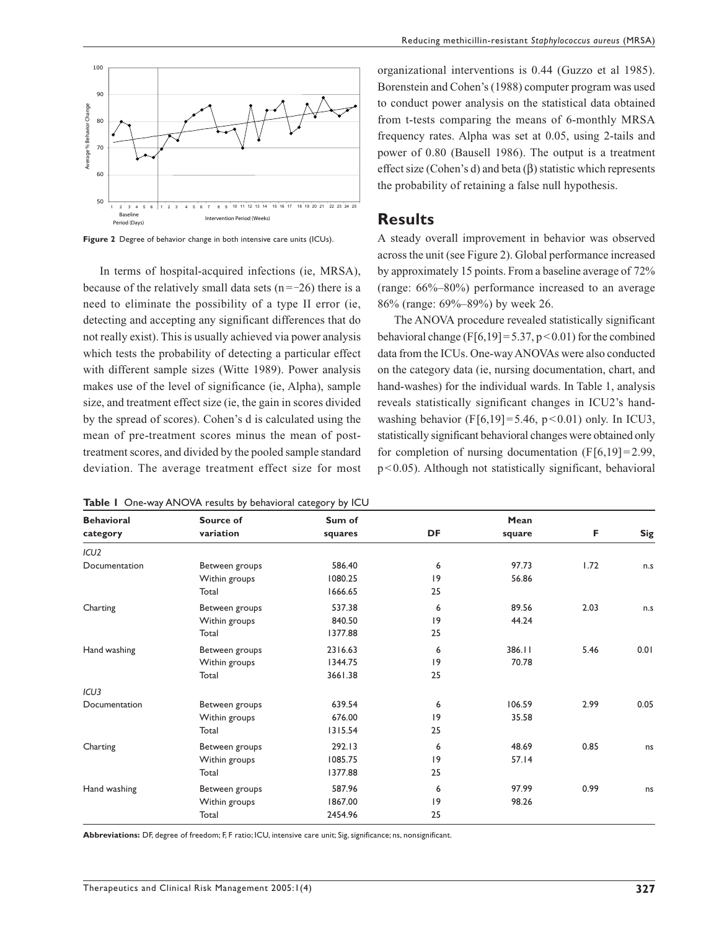

Figure 2 Degree of behavior change in both intensive care units (ICUs).

In terms of hospital-acquired infections (ie, MRSA), because of the relatively small data sets  $(n = -26)$  there is a need to eliminate the possibility of a type II error (ie, detecting and accepting any significant differences that do not really exist). This is usually achieved via power analysis which tests the probability of detecting a particular effect with different sample sizes (Witte 1989). Power analysis makes use of the level of significance (ie, Alpha), sample size, and treatment effect size (ie, the gain in scores divided by the spread of scores). Cohen's d is calculated using the mean of pre-treatment scores minus the mean of posttreatment scores, and divided by the pooled sample standard deviation. The average treatment effect size for most

|  |  |  |  |  | Table I One-way ANOVA results by behavioral category by ICU |  |  |  |
|--|--|--|--|--|-------------------------------------------------------------|--|--|--|
|--|--|--|--|--|-------------------------------------------------------------|--|--|--|

organizational interventions is 0.44 (Guzzo et al 1985). Borenstein and Cohen's (1988) computer program was used to conduct power analysis on the statistical data obtained from t-tests comparing the means of 6-monthly MRSA frequency rates. Alpha was set at 0.05, using 2-tails and power of 0.80 (Bausell 1986). The output is a treatment effect size (Cohen's d) and beta  $(\beta)$  statistic which represents the probability of retaining a false null hypothesis.

#### **Results**

A steady overall improvement in behavior was observed across the unit (see Figure 2). Global performance increased by approximately 15 points. From a baseline average of 72% (range: 66%–80%) performance increased to an average 86% (range: 69%–89%) by week 26.

The ANOVA procedure revealed statistically significant behavioral change (F[6,19]=5.37, p<0.01) for the combined data from the ICUs. One-way ANOVAs were also conducted on the category data (ie, nursing documentation, chart, and hand-washes) for the individual wards. In Table 1, analysis reveals statistically significant changes in ICU2's handwashing behavior (F[6,19]=5.46, p<0.01) only. In ICU3, statistically significant behavioral changes were obtained only for completion of nursing documentation  $(F[6,19] = 2.99$ , p<0.05). Although not statistically significant, behavioral

| <b>Behavioral</b> | Source of      | Sum of  |             | Mean   |      |      |
|-------------------|----------------|---------|-------------|--------|------|------|
| category          | variation      | squares | DF          | square | F    | Sig  |
| ICU <sub>2</sub>  |                |         |             |        |      |      |
| Documentation     | Between groups | 586.40  | 6           | 97.73  | 1.72 | n.s  |
|                   | Within groups  | 1080.25 | 9           | 56.86  |      |      |
|                   | Total          | 1666.65 | 25          |        |      |      |
| Charting          | Between groups | 537.38  | 6           | 89.56  | 2.03 | n.s  |
|                   | Within groups  | 840.50  | 9           | 44.24  |      |      |
|                   | Total          | 1377.88 | 25          |        |      |      |
| Hand washing      | Between groups | 2316.63 | 6           | 386.11 | 5.46 | 0.01 |
|                   | Within groups  | 1344.75 | $ 9\rangle$ | 70.78  |      |      |
|                   | Total          | 3661.38 | 25          |        |      |      |
| ICU <sub>3</sub>  |                |         |             |        |      |      |
| Documentation     | Between groups | 639.54  | 6           | 106.59 | 2.99 | 0.05 |
|                   | Within groups  | 676.00  | 9           | 35.58  |      |      |
|                   | Total          | 1315.54 | 25          |        |      |      |
| Charting          | Between groups | 292.13  | 6           | 48.69  | 0.85 | ns   |
|                   | Within groups  | 1085.75 | 9           | 57.14  |      |      |
|                   | Total          | 1377.88 | 25          |        |      |      |
| Hand washing      | Between groups | 587.96  | 6           | 97.99  | 0.99 | ns   |
|                   | Within groups  | 1867.00 | 9           | 98.26  |      |      |
|                   | Total          | 2454.96 | 25          |        |      |      |

**Abbreviations:** DF, degree of freedom; F, F ratio; ICU, intensive care unit; Sig, significance; ns, nonsignificant.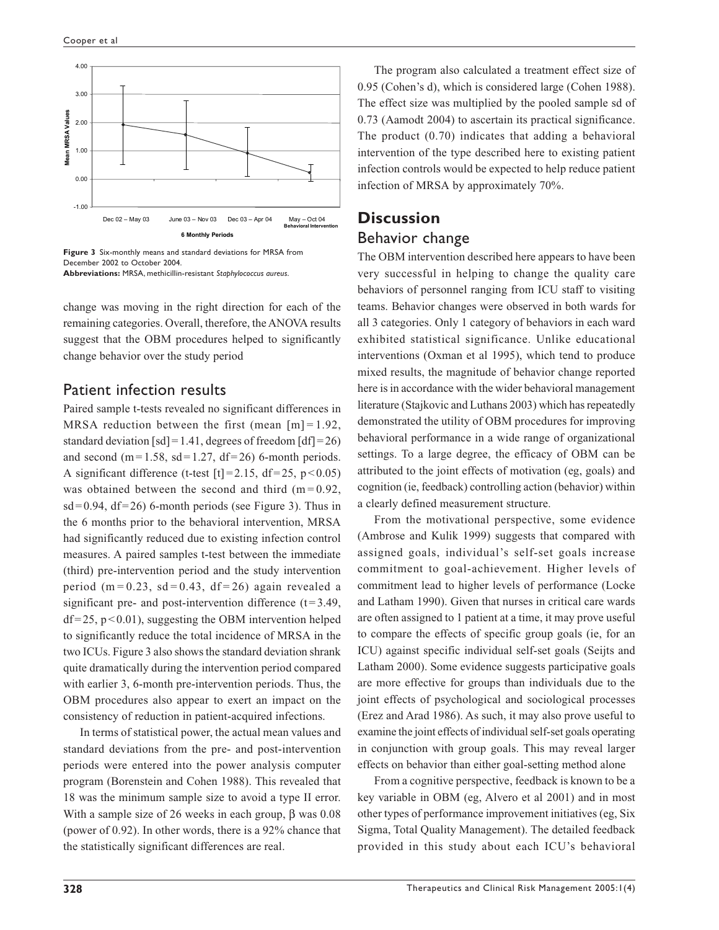

**Figure 3** Six-monthly means and standard deviations for MRSA from December 2002 to October 2004. **Abbreviations:** MRSA, methicillin-resistant *Staphylococcus aureus*.

change was moving in the right direction for each of the remaining categories. Overall, therefore, the ANOVA results suggest that the OBM procedures helped to significantly change behavior over the study period

## Patient infection results

Paired sample t-tests revealed no significant differences in MRSA reduction between the first (mean  $[m] = 1.92$ , standard deviation [sd] = 1.41, degrees of freedom  $\text{[df]}=26$ ) and second (m= $1.58$ , sd= $1.27$ , df= $26$ ) 6-month periods. A significant difference (t-test  $[t] = 2.15$ ,  $df = 25$ ,  $p < 0.05$ ) was obtained between the second and third  $(m=0.92,$  $sd=0.94$ ,  $df=26$ ) 6-month periods (see Figure 3). Thus in the 6 months prior to the behavioral intervention, MRSA had significantly reduced due to existing infection control measures. A paired samples t-test between the immediate (third) pre-intervention period and the study intervention period (m=0.23, sd=0.43, df=26) again revealed a significant pre- and post-intervention difference  $(t=3.49)$ ,  $df=25$ ,  $p<0.01$ ), suggesting the OBM intervention helped to significantly reduce the total incidence of MRSA in the two ICUs. Figure 3 also shows the standard deviation shrank quite dramatically during the intervention period compared with earlier 3, 6-month pre-intervention periods. Thus, the OBM procedures also appear to exert an impact on the consistency of reduction in patient-acquired infections.

In terms of statistical power, the actual mean values and standard deviations from the pre- and post-intervention periods were entered into the power analysis computer program (Borenstein and Cohen 1988). This revealed that 18 was the minimum sample size to avoid a type II error. With a sample size of 26 weeks in each group,  $\beta$  was 0.08 (power of 0.92). In other words, there is a 92% chance that the statistically significant differences are real.

The program also calculated a treatment effect size of 0.95 (Cohen's d), which is considered large (Cohen 1988). The effect size was multiplied by the pooled sample sd of 0.73 (Aamodt 2004) to ascertain its practical significance. The product (0.70) indicates that adding a behavioral intervention of the type described here to existing patient infection controls would be expected to help reduce patient infection of MRSA by approximately 70%.

# **Discussion** Behavior change

The OBM intervention described here appears to have been very successful in helping to change the quality care behaviors of personnel ranging from ICU staff to visiting teams. Behavior changes were observed in both wards for all 3 categories. Only 1 category of behaviors in each ward exhibited statistical significance. Unlike educational interventions (Oxman et al 1995), which tend to produce mixed results, the magnitude of behavior change reported here is in accordance with the wider behavioral management literature (Stajkovic and Luthans 2003) which has repeatedly demonstrated the utility of OBM procedures for improving behavioral performance in a wide range of organizational settings. To a large degree, the efficacy of OBM can be attributed to the joint effects of motivation (eg, goals) and cognition (ie, feedback) controlling action (behavior) within a clearly defined measurement structure.

From the motivational perspective, some evidence (Ambrose and Kulik 1999) suggests that compared with assigned goals, individual's self-set goals increase commitment to goal-achievement. Higher levels of commitment lead to higher levels of performance (Locke and Latham 1990). Given that nurses in critical care wards are often assigned to 1 patient at a time, it may prove useful to compare the effects of specific group goals (ie, for an ICU) against specific individual self-set goals (Seijts and Latham 2000). Some evidence suggests participative goals are more effective for groups than individuals due to the joint effects of psychological and sociological processes (Erez and Arad 1986). As such, it may also prove useful to examine the joint effects of individual self-set goals operating in conjunction with group goals. This may reveal larger effects on behavior than either goal-setting method alone

From a cognitive perspective, feedback is known to be a key variable in OBM (eg, Alvero et al 2001) and in most other types of performance improvement initiatives (eg, Six Sigma, Total Quality Management). The detailed feedback provided in this study about each ICU's behavioral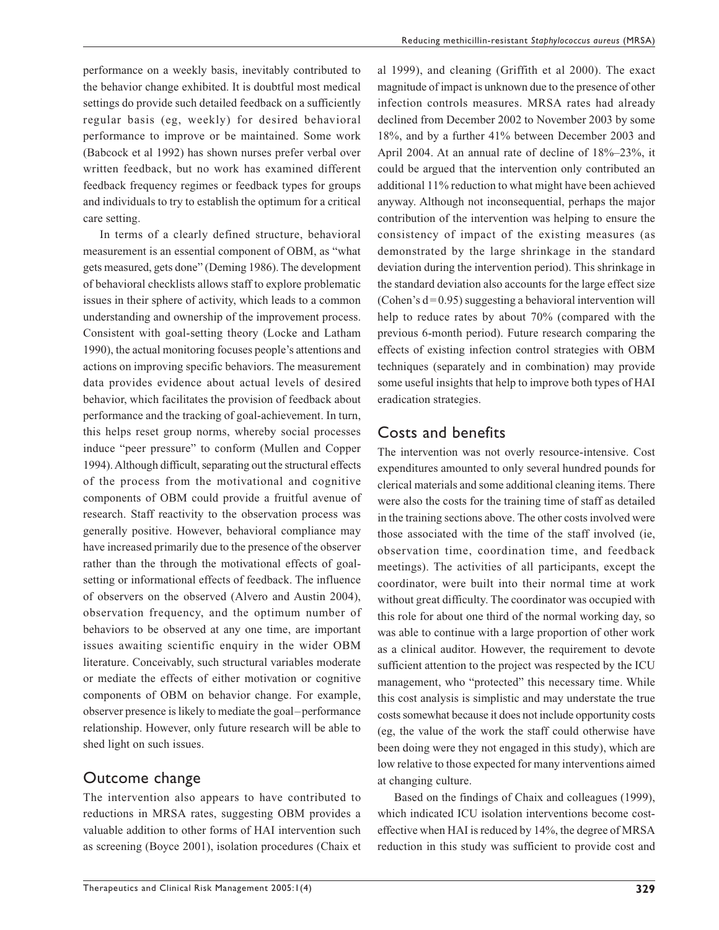performance on a weekly basis, inevitably contributed to the behavior change exhibited. It is doubtful most medical settings do provide such detailed feedback on a sufficiently regular basis (eg, weekly) for desired behavioral performance to improve or be maintained. Some work (Babcock et al 1992) has shown nurses prefer verbal over written feedback, but no work has examined different feedback frequency regimes or feedback types for groups and individuals to try to establish the optimum for a critical care setting.

In terms of a clearly defined structure, behavioral measurement is an essential component of OBM, as "what gets measured, gets done" (Deming 1986). The development of behavioral checklists allows staff to explore problematic issues in their sphere of activity, which leads to a common understanding and ownership of the improvement process. Consistent with goal-setting theory (Locke and Latham 1990), the actual monitoring focuses people's attentions and actions on improving specific behaviors. The measurement data provides evidence about actual levels of desired behavior, which facilitates the provision of feedback about performance and the tracking of goal-achievement. In turn, this helps reset group norms, whereby social processes induce "peer pressure" to conform (Mullen and Copper 1994). Although difficult, separating out the structural effects of the process from the motivational and cognitive components of OBM could provide a fruitful avenue of research. Staff reactivity to the observation process was generally positive. However, behavioral compliance may have increased primarily due to the presence of the observer rather than the through the motivational effects of goalsetting or informational effects of feedback. The influence of observers on the observed (Alvero and Austin 2004), observation frequency, and the optimum number of behaviors to be observed at any one time, are important issues awaiting scientific enquiry in the wider OBM literature. Conceivably, such structural variables moderate or mediate the effects of either motivation or cognitive components of OBM on behavior change. For example, observer presence is likely to mediate the goal–performance relationship. However, only future research will be able to shed light on such issues.

## Outcome change

The intervention also appears to have contributed to reductions in MRSA rates, suggesting OBM provides a valuable addition to other forms of HAI intervention such as screening (Boyce 2001), isolation procedures (Chaix et al 1999), and cleaning (Griffith et al 2000). The exact magnitude of impact is unknown due to the presence of other infection controls measures. MRSA rates had already declined from December 2002 to November 2003 by some 18%, and by a further 41% between December 2003 and April 2004. At an annual rate of decline of 18%–23%, it could be argued that the intervention only contributed an additional 11% reduction to what might have been achieved anyway. Although not inconsequential, perhaps the major contribution of the intervention was helping to ensure the consistency of impact of the existing measures (as demonstrated by the large shrinkage in the standard deviation during the intervention period). This shrinkage in the standard deviation also accounts for the large effect size (Cohen's  $d=0.95$ ) suggesting a behavioral intervention will help to reduce rates by about 70% (compared with the previous 6-month period). Future research comparing the effects of existing infection control strategies with OBM techniques (separately and in combination) may provide some useful insights that help to improve both types of HAI eradication strategies.

## Costs and benefits

The intervention was not overly resource-intensive. Cost expenditures amounted to only several hundred pounds for clerical materials and some additional cleaning items. There were also the costs for the training time of staff as detailed in the training sections above. The other costs involved were those associated with the time of the staff involved (ie, observation time, coordination time, and feedback meetings). The activities of all participants, except the coordinator, were built into their normal time at work without great difficulty. The coordinator was occupied with this role for about one third of the normal working day, so was able to continue with a large proportion of other work as a clinical auditor. However, the requirement to devote sufficient attention to the project was respected by the ICU management, who "protected" this necessary time. While this cost analysis is simplistic and may understate the true costs somewhat because it does not include opportunity costs (eg, the value of the work the staff could otherwise have been doing were they not engaged in this study), which are low relative to those expected for many interventions aimed at changing culture.

Based on the findings of Chaix and colleagues (1999), which indicated ICU isolation interventions become costeffective when HAI is reduced by 14%, the degree of MRSA reduction in this study was sufficient to provide cost and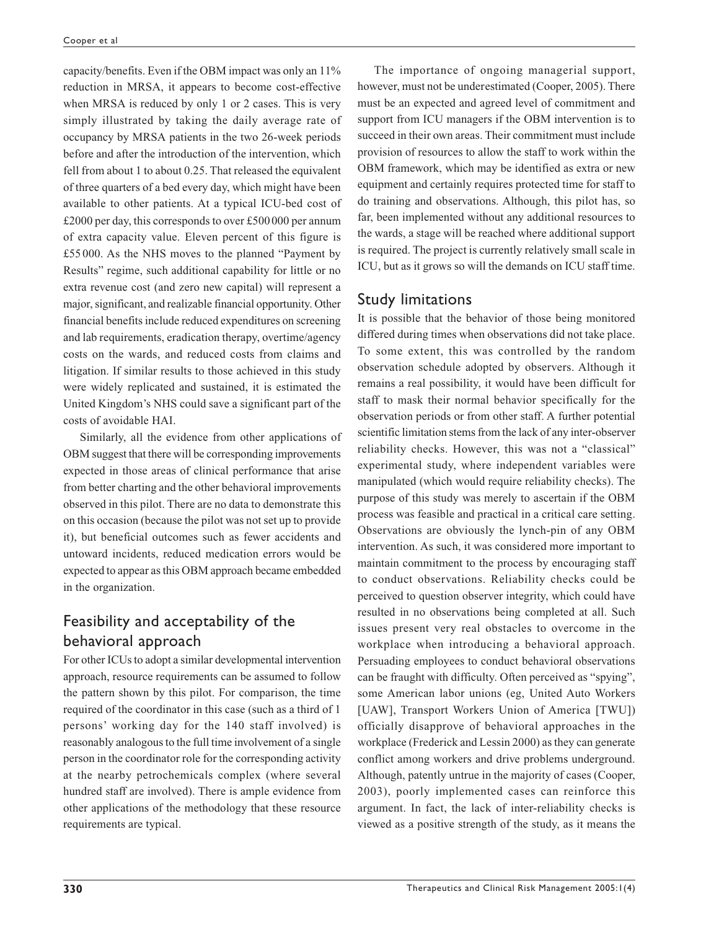capacity/benefits. Even if the OBM impact was only an 11% reduction in MRSA, it appears to become cost-effective when MRSA is reduced by only 1 or 2 cases. This is very simply illustrated by taking the daily average rate of occupancy by MRSA patients in the two 26-week periods before and after the introduction of the intervention, which fell from about 1 to about 0.25. That released the equivalent of three quarters of a bed every day, which might have been available to other patients. At a typical ICU-bed cost of £2000 per day, this corresponds to over £500000 per annum of extra capacity value. Eleven percent of this figure is £55 000. As the NHS moves to the planned "Payment by Results" regime, such additional capability for little or no extra revenue cost (and zero new capital) will represent a major, significant, and realizable financial opportunity. Other financial benefits include reduced expenditures on screening and lab requirements, eradication therapy, overtime/agency costs on the wards, and reduced costs from claims and litigation. If similar results to those achieved in this study were widely replicated and sustained, it is estimated the United Kingdom's NHS could save a significant part of the costs of avoidable HAI.

Similarly, all the evidence from other applications of OBM suggest that there will be corresponding improvements expected in those areas of clinical performance that arise from better charting and the other behavioral improvements observed in this pilot. There are no data to demonstrate this on this occasion (because the pilot was not set up to provide it), but beneficial outcomes such as fewer accidents and untoward incidents, reduced medication errors would be expected to appear as this OBM approach became embedded in the organization.

# Feasibility and acceptability of the behavioral approach

For other ICUs to adopt a similar developmental intervention approach, resource requirements can be assumed to follow the pattern shown by this pilot. For comparison, the time required of the coordinator in this case (such as a third of 1 persons' working day for the 140 staff involved) is reasonably analogous to the full time involvement of a single person in the coordinator role for the corresponding activity at the nearby petrochemicals complex (where several hundred staff are involved). There is ample evidence from other applications of the methodology that these resource requirements are typical.

The importance of ongoing managerial support, however, must not be underestimated (Cooper, 2005). There must be an expected and agreed level of commitment and support from ICU managers if the OBM intervention is to succeed in their own areas. Their commitment must include provision of resources to allow the staff to work within the OBM framework, which may be identified as extra or new equipment and certainly requires protected time for staff to do training and observations. Although, this pilot has, so far, been implemented without any additional resources to the wards, a stage will be reached where additional support is required. The project is currently relatively small scale in ICU, but as it grows so will the demands on ICU staff time.

# Study limitations

It is possible that the behavior of those being monitored differed during times when observations did not take place. To some extent, this was controlled by the random observation schedule adopted by observers. Although it remains a real possibility, it would have been difficult for staff to mask their normal behavior specifically for the observation periods or from other staff. A further potential scientific limitation stems from the lack of any inter-observer reliability checks. However, this was not a "classical" experimental study, where independent variables were manipulated (which would require reliability checks). The purpose of this study was merely to ascertain if the OBM process was feasible and practical in a critical care setting. Observations are obviously the lynch-pin of any OBM intervention. As such, it was considered more important to maintain commitment to the process by encouraging staff to conduct observations. Reliability checks could be perceived to question observer integrity, which could have resulted in no observations being completed at all. Such issues present very real obstacles to overcome in the workplace when introducing a behavioral approach. Persuading employees to conduct behavioral observations can be fraught with difficulty. Often perceived as "spying", some American labor unions (eg, United Auto Workers [UAW], Transport Workers Union of America [TWU]) officially disapprove of behavioral approaches in the workplace (Frederick and Lessin 2000) as they can generate conflict among workers and drive problems underground. Although, patently untrue in the majority of cases (Cooper, 2003), poorly implemented cases can reinforce this argument. In fact, the lack of inter-reliability checks is viewed as a positive strength of the study, as it means the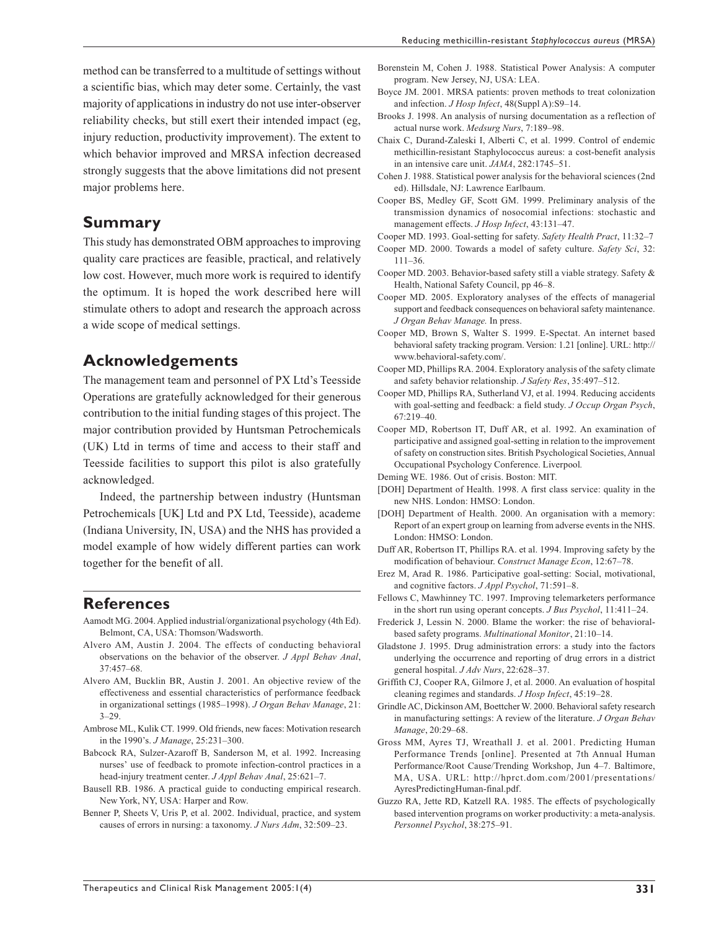method can be transferred to a multitude of settings without a scientific bias, which may deter some. Certainly, the vast majority of applications in industry do not use inter-observer reliability checks, but still exert their intended impact (eg, injury reduction, productivity improvement). The extent to which behavior improved and MRSA infection decreased strongly suggests that the above limitations did not present major problems here.

#### **Summary**

This study has demonstrated OBM approaches to improving quality care practices are feasible, practical, and relatively low cost. However, much more work is required to identify the optimum. It is hoped the work described here will stimulate others to adopt and research the approach across a wide scope of medical settings.

## **Acknowledgements**

The management team and personnel of PX Ltd's Teesside Operations are gratefully acknowledged for their generous contribution to the initial funding stages of this project. The major contribution provided by Huntsman Petrochemicals (UK) Ltd in terms of time and access to their staff and Teesside facilities to support this pilot is also gratefully acknowledged.

Indeed, the partnership between industry (Huntsman Petrochemicals [UK] Ltd and PX Ltd, Teesside), academe (Indiana University, IN, USA) and the NHS has provided a model example of how widely different parties can work together for the benefit of all.

#### **References**

- Aamodt MG. 2004. Applied industrial/organizational psychology (4th Ed). Belmont, CA, USA: Thomson/Wadsworth.
- Alvero AM, Austin J. 2004. The effects of conducting behavioral observations on the behavior of the observer. *J Appl Behav Anal*, 37:457–68.
- Alvero AM, Bucklin BR, Austin J. 2001. An objective review of the effectiveness and essential characteristics of performance feedback in organizational settings (1985–1998). *J Organ Behav Manage*, 21: 3–29.
- Ambrose ML, Kulik CT. 1999. Old friends, new faces: Motivation research in the 1990's. *J Manage*, 25:231–300.
- Babcock RA, Sulzer-Azaroff B, Sanderson M, et al. 1992. Increasing nurses' use of feedback to promote infection-control practices in a head-injury treatment center. *J Appl Behav Anal*, 25:621–7.
- Bausell RB. 1986. A practical guide to conducting empirical research. New York, NY, USA: Harper and Row.
- Benner P, Sheets V, Uris P, et al. 2002. Individual, practice, and system causes of errors in nursing: a taxonomy. *J Nurs Adm*, 32:509–23.
- Borenstein M, Cohen J. 1988. Statistical Power Analysis: A computer program. New Jersey, NJ, USA: LEA.
- Boyce JM. 2001. MRSA patients: proven methods to treat colonization and infection. *J Hosp Infect*, 48(Suppl A):S9–14.
- Brooks J. 1998. An analysis of nursing documentation as a reflection of actual nurse work. *Medsurg Nurs*, 7:189–98.
- Chaix C, Durand-Zaleski I, Alberti C, et al. 1999. Control of endemic methicillin-resistant Staphylococcus aureus: a cost-benefit analysis in an intensive care unit. *JAMA*, 282:1745–51.
- Cohen J. 1988. Statistical power analysis for the behavioral sciences (2nd ed). Hillsdale, NJ: Lawrence Earlbaum.
- Cooper BS, Medley GF, Scott GM. 1999. Preliminary analysis of the transmission dynamics of nosocomial infections: stochastic and management effects. *J Hosp Infect*, 43:131–47.
- Cooper MD. 1993. Goal-setting for safety. *Safety Health Pract*, 11:32–7
- Cooper MD. 2000. Towards a model of safety culture. *Safety Sci*, 32: 111–36.
- Cooper MD. 2003. Behavior-based safety still a viable strategy. Safety & Health, National Safety Council, pp 46–8.
- Cooper MD. 2005. Exploratory analyses of the effects of managerial support and feedback consequences on behavioral safety maintenance. *J Organ Behav Manage.* In press.
- Cooper MD, Brown S, Walter S. 1999. E-Spectat. An internet based behavioral safety tracking program. Version: 1.21 [online]. URL: http:// www.behavioral-safety.com/.
- Cooper MD, Phillips RA. 2004. Exploratory analysis of the safety climate and safety behavior relationship. *J Safety Res*, 35:497–512.
- Cooper MD, Phillips RA, Sutherland VJ, et al. 1994. Reducing accidents with goal-setting and feedback: a field study. *J Occup Organ Psych*, 67:219–40.
- Cooper MD, Robertson IT, Duff AR, et al. 1992. An examination of participative and assigned goal-setting in relation to the improvement of safety on construction sites. British Psychological Societies, Annual Occupational Psychology Conference. Liverpool*.*
- Deming WE. 1986. Out of crisis. Boston: MIT.
- [DOH] Department of Health. 1998. A first class service: quality in the new NHS. London: HMSO: London.
- [DOH] Department of Health. 2000. An organisation with a memory: Report of an expert group on learning from adverse events in the NHS. London: HMSO: London.
- Duff AR, Robertson IT, Phillips RA. et al. 1994. Improving safety by the modification of behaviour. *Construct Manage Econ*, 12:67–78.
- Erez M, Arad R. 1986. Participative goal-setting: Social, motivational, and cognitive factors. *J Appl Psychol*, 71:591–8.
- Fellows C, Mawhinney TC. 1997. Improving telemarketers performance in the short run using operant concepts. *J Bus Psychol*, 11:411–24.
- Frederick J, Lessin N. 2000. Blame the worker: the rise of behavioralbased safety programs. *Multinational Monitor*, 21:10–14.
- Gladstone J. 1995. Drug administration errors: a study into the factors underlying the occurrence and reporting of drug errors in a district general hospital. *J Adv Nurs*, 22:628–37.
- Griffith CJ, Cooper RA, Gilmore J, et al. 2000. An evaluation of hospital cleaning regimes and standards. *J Hosp Infect*, 45:19–28.
- Grindle AC, Dickinson AM, Boettcher W. 2000. Behavioral safety research in manufacturing settings: A review of the literature. *J Organ Behav Manage*, 20:29–68.
- Gross MM, Ayres TJ, Wreathall J. et al. 2001. Predicting Human Performance Trends [online]. Presented at 7th Annual Human Performance/Root Cause/Trending Workshop, Jun 4–7. Baltimore, MA, USA. URL: http://hprct.dom.com/2001/presentations/ AyresPredictingHuman-final.pdf.
- Guzzo RA, Jette RD, Katzell RA. 1985. The effects of psychologically based intervention programs on worker productivity: a meta-analysis. *Personnel Psychol*, 38:275–91.